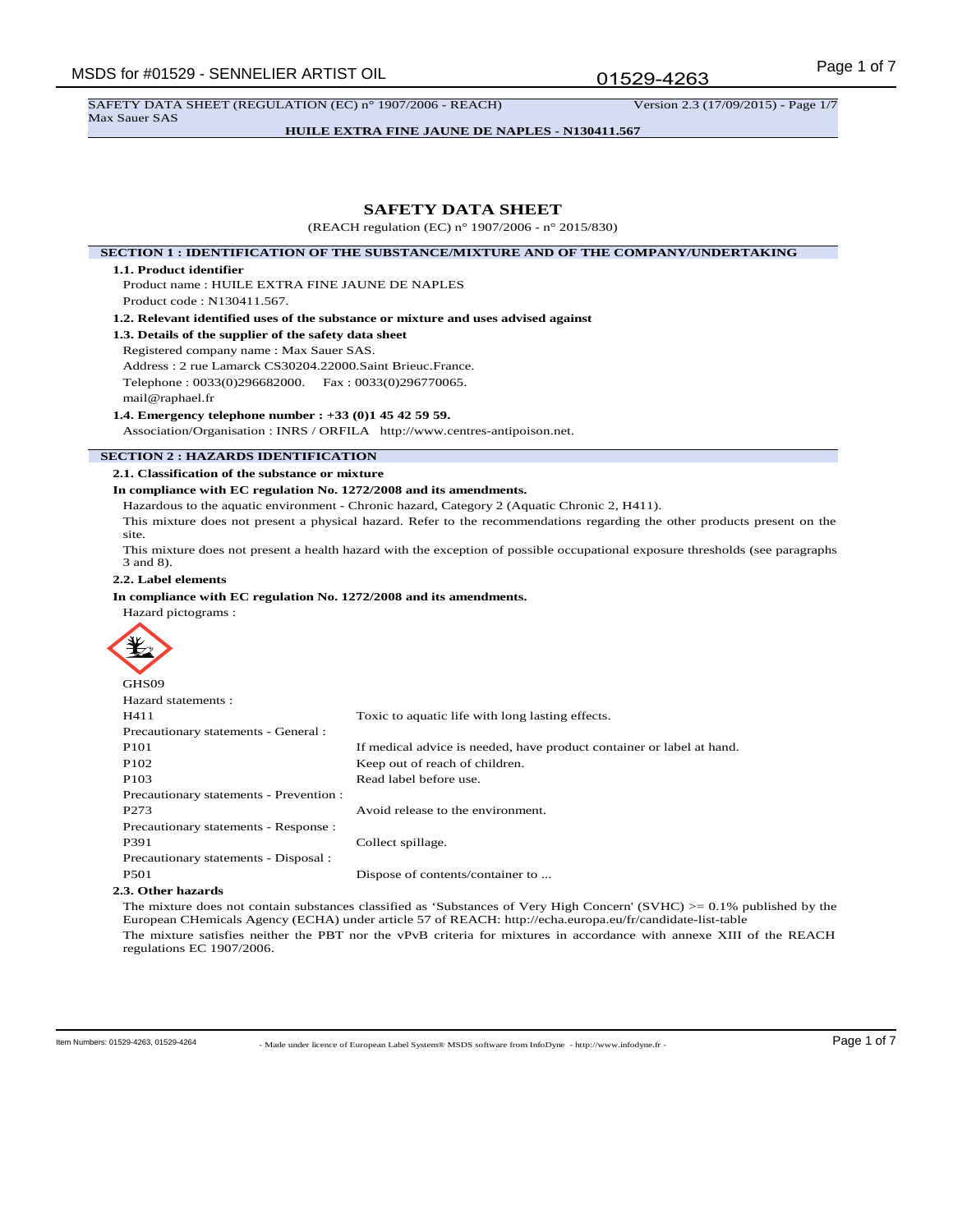01529-4263

**HUILE EXTRA FINE JAUNE DE NAPLES - N130411.567**

## **SAFETY DATA SHEET**

(REACH regulation (EC) n° 1907/2006 - n° 2015/830)

## **SECTION 1 : IDENTIFICATION OF THE SUBSTANCE/MIXTURE AND OF THE COMPANY/UNDERTAKING**

#### **1.1. Product identifier**

Product name : HUILE EXTRA FINE JAUNE DE NAPLES Product code : N130411.567.

**1.2. Relevant identified uses of the substance or mixture and uses advised against**

**1.3. Details of the supplier of the safety data sheet**

Registered company name : Max Sauer SAS. Address : 2 rue Lamarck CS30204.22000.Saint Brieuc.France. Telephone : 0033(0)296682000. Fax : 0033(0)296770065. mail@raphael.fr

**1.4. Emergency telephone number : +33 (0)1 45 42 59 59.**

Association/Organisation : INRS / ORFILA http://www.centres-antipoison.net.

## **SECTION 2 : HAZARDS IDENTIFICATION**

**2.1. Classification of the substance or mixture**

#### **In compliance with EC regulation No. 1272/2008 and its amendments.**

Hazardous to the aquatic environment - Chronic hazard, Category 2 (Aquatic Chronic 2, H411).

This mixture does not present a physical hazard. Refer to the recommendations regarding the other products present on the site.

This mixture does not present a health hazard with the exception of possible occupational exposure thresholds (see paragraphs 3 and 8).

## **2.2. Label elements**

Hazard pictograms :

**In compliance with EC regulation No. 1272/2008 and its amendments.**



| GHS09                                   |                                                                       |
|-----------------------------------------|-----------------------------------------------------------------------|
| Hazard statements :                     |                                                                       |
| H411                                    | Toxic to aquatic life with long lasting effects.                      |
| Precautionary statements - General :    |                                                                       |
| P <sub>101</sub>                        | If medical advice is needed, have product container or label at hand. |
| P <sub>102</sub>                        | Keep out of reach of children.                                        |
| P <sub>103</sub>                        | Read label before use.                                                |
| Precautionary statements - Prevention : |                                                                       |
| P <sub>273</sub>                        | Avoid release to the environment.                                     |
| Precautionary statements - Response :   |                                                                       |
| P391                                    | Collect spillage.                                                     |
| Precautionary statements - Disposal :   |                                                                       |
| P <sub>501</sub>                        | Dispose of contents/container to                                      |
|                                         |                                                                       |

#### **2.3. Other hazards**

The mixture does not contain substances classified as 'Substances of Very High Concern' (SVHC) >= 0.1% published by the European CHemicals Agency (ECHA) under article 57 of REACH: http://echa.europa.eu/fr/candidate-list-table The mixture satisfies neither the PBT nor the vPvB criteria for mixtures in accordance with annexe XIII of the REACH regulations EC 1907/2006.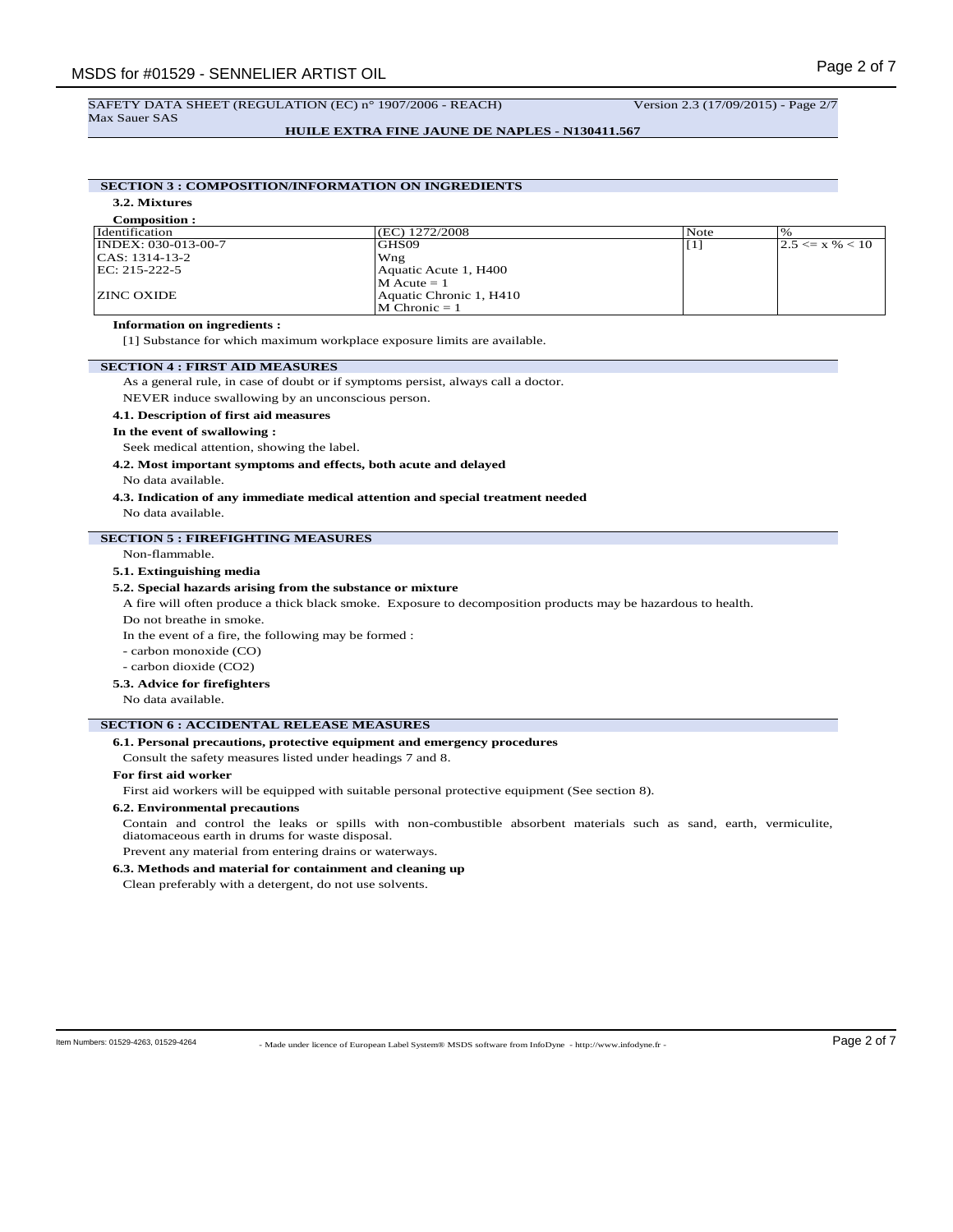#### **HUILE EXTRA FINE JAUNE DE NAPLES - N130411.567**

# **SECTION 3 : COMPOSITION/INFORMATION ON INGREDIENTS**

**3.2. Mixtures**

| <b>Composition:</b> |                         |                   |                       |
|---------------------|-------------------------|-------------------|-----------------------|
| Identification      | (EC) 1272/2008          | Note              | $\%$                  |
| INDEX: 030-013-00-7 | GHS09                   | $\lceil 1 \rceil$ | $ 2.5 \leq x \% < 10$ |
| CAS: 1314-13-2      | Wng                     |                   |                       |
| EC: 215-222-5       | Aquatic Acute 1, H400   |                   |                       |
|                     | $M Acute = 1$           |                   |                       |
| <b>ZINC OXIDE</b>   | Aquatic Chronic 1, H410 |                   |                       |
|                     | $M$ Chronic $= 1$       |                   |                       |

## **Information on ingredients :**

[1] Substance for which maximum workplace exposure limits are available.

## **SECTION 4 : FIRST AID MEASURES**

As a general rule, in case of doubt or if symptoms persist, always call a doctor.

NEVER induce swallowing by an unconscious person.

#### **4.1. Description of first aid measures**

#### **In the event of swallowing :**

Seek medical attention, showing the label.

**4.2. Most important symptoms and effects, both acute and delayed**

#### No data available.

# **4.3. Indication of any immediate medical attention and special treatment needed**

No data available.

## **SECTION 5 : FIREFIGHTING MEASURES**

Non-flammable.

## **5.1. Extinguishing media**

## **5.2. Special hazards arising from the substance or mixture**

A fire will often produce a thick black smoke. Exposure to decomposition products may be hazardous to health.

Do not breathe in smoke.

In the event of a fire, the following may be formed :

- carbon monoxide (CO)

- carbon dioxide (CO2)

#### **5.3. Advice for firefighters**

No data available.

## **SECTION 6 : ACCIDENTAL RELEASE MEASURES**

## **6.1. Personal precautions, protective equipment and emergency procedures**

Consult the safety measures listed under headings 7 and 8.

#### **For first aid worker**

First aid workers will be equipped with suitable personal protective equipment (See section 8).

## **6.2. Environmental precautions**

Contain and control the leaks or spills with non-combustible absorbent materials such as sand, earth, vermiculite, diatomaceous earth in drums for waste disposal.

Prevent any material from entering drains or waterways.

# **6.3. Methods and material for containment and cleaning up**

Clean preferably with a detergent, do not use solvents.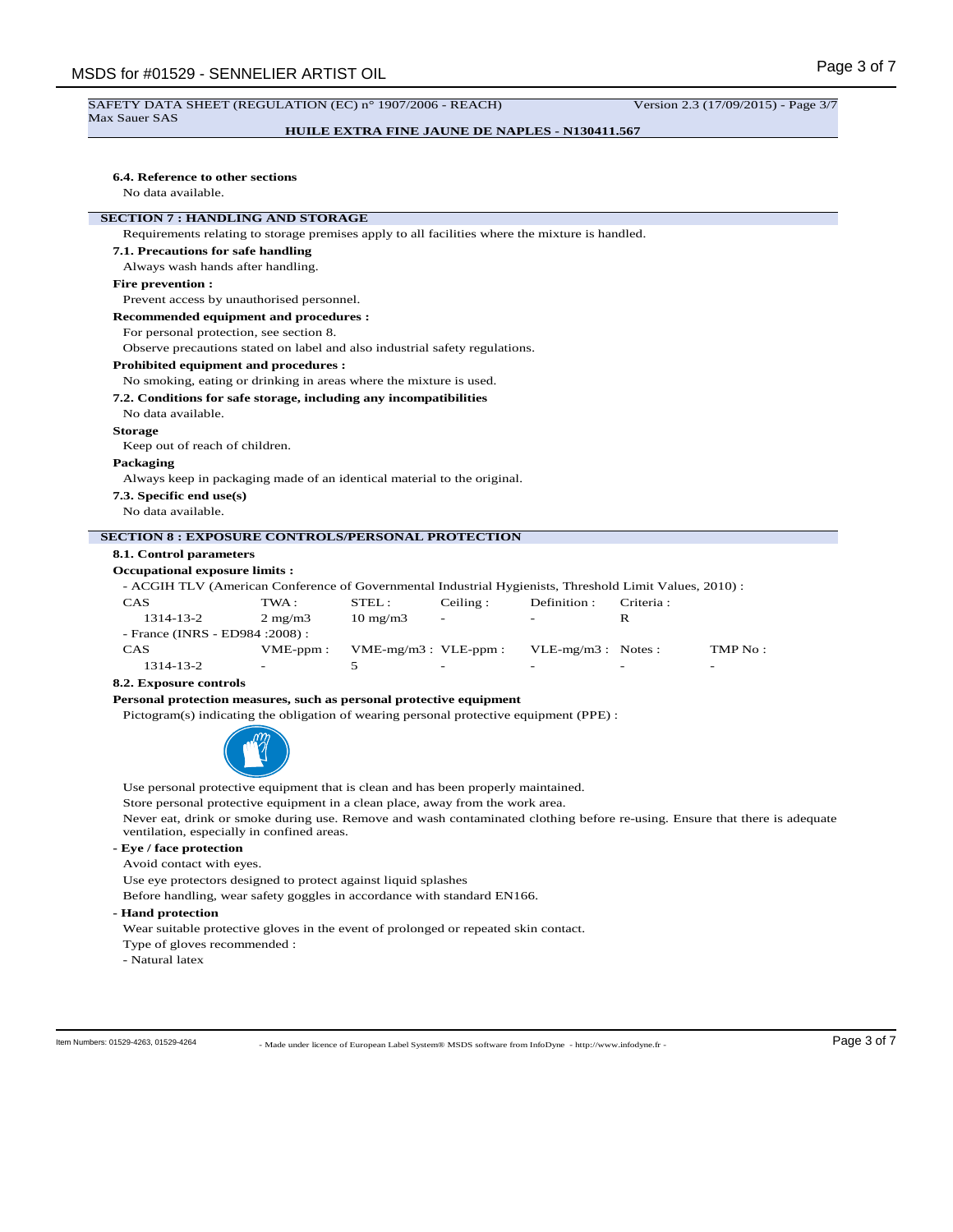#### SAFETY DATA SHEET (REGULATION (EC) n° 1907/2006 - REACH) Version 2.3 (17/09/2015) - Page 3/7 Max Sauer SAS

## **HUILE EXTRA FINE JAUNE DE NAPLES - N130411.567**

## **6.4. Reference to other sections**

No data available.

## **SECTION 7 : HANDLING AND STORAGE**

Requirements relating to storage premises apply to all facilities where the mixture is handled.

**7.1. Precautions for safe handling**

Always wash hands after handling.

## **Fire prevention :**

Prevent access by unauthorised personnel.

#### **Recommended equipment and procedures :**

For personal protection, see section 8.

Observe precautions stated on label and also industrial safety regulations.

## **Prohibited equipment and procedures :**

#### No smoking, eating or drinking in areas where the mixture is used.

**7.2. Conditions for safe storage, including any incompatibilities**

No data available.

#### **Storage**

Keep out of reach of children.

#### **Packaging**

Always keep in packaging made of an identical material to the original.

**7.3. Specific end use(s)**

No data available.

#### **SECTION 8 : EXPOSURE CONTROLS/PERSONAL PROTECTION**

**8.1. Control parameters**

#### **Occupational exposure limits :**

- ACGIH TLV (American Conference of Governmental Industrial Hygienists, Threshold Limit Values, 2010) :

| CAS                              | TWA :                    | STEL:                     | Ceiling:                 | Definition :             | Criteria :               |         |
|----------------------------------|--------------------------|---------------------------|--------------------------|--------------------------|--------------------------|---------|
| 1314-13-2                        | $2 \text{ mg}/\text{m}$  | $10 \text{ mg/m}$         | $\overline{\phantom{0}}$ | $\overline{\phantom{0}}$ |                          |         |
| - France (INRS - ED984 : 2008) : |                          |                           |                          |                          |                          |         |
| <b>CAS</b>                       | $VME$ -ppm:              | $VME-mg/m3$ : $VLE-ppm$ : |                          | $VLE-mg/m3$ : Notes:     |                          | TMP No: |
| 1314-13-2                        | $\overline{\phantom{a}}$ |                           | -                        | $\overline{\phantom{0}}$ | $\overline{\phantom{0}}$ | -       |

#### **8.2. Exposure controls**

## **Personal protection measures, such as personal protective equipment**

Pictogram(s) indicating the obligation of wearing personal protective equipment (PPE) :



Use personal protective equipment that is clean and has been properly maintained.

Store personal protective equipment in a clean place, away from the work area.

Never eat, drink or smoke during use. Remove and wash contaminated clothing before re-using. Ensure that there is adequate ventilation, especially in confined areas.

## **- Eye / face protection**

Avoid contact with eyes.

Use eye protectors designed to protect against liquid splashes

Before handling, wear safety goggles in accordance with standard EN166.

## **- Hand protection**

Wear suitable protective gloves in the event of prolonged or repeated skin contact.

Type of gloves recommended :

- Natural latex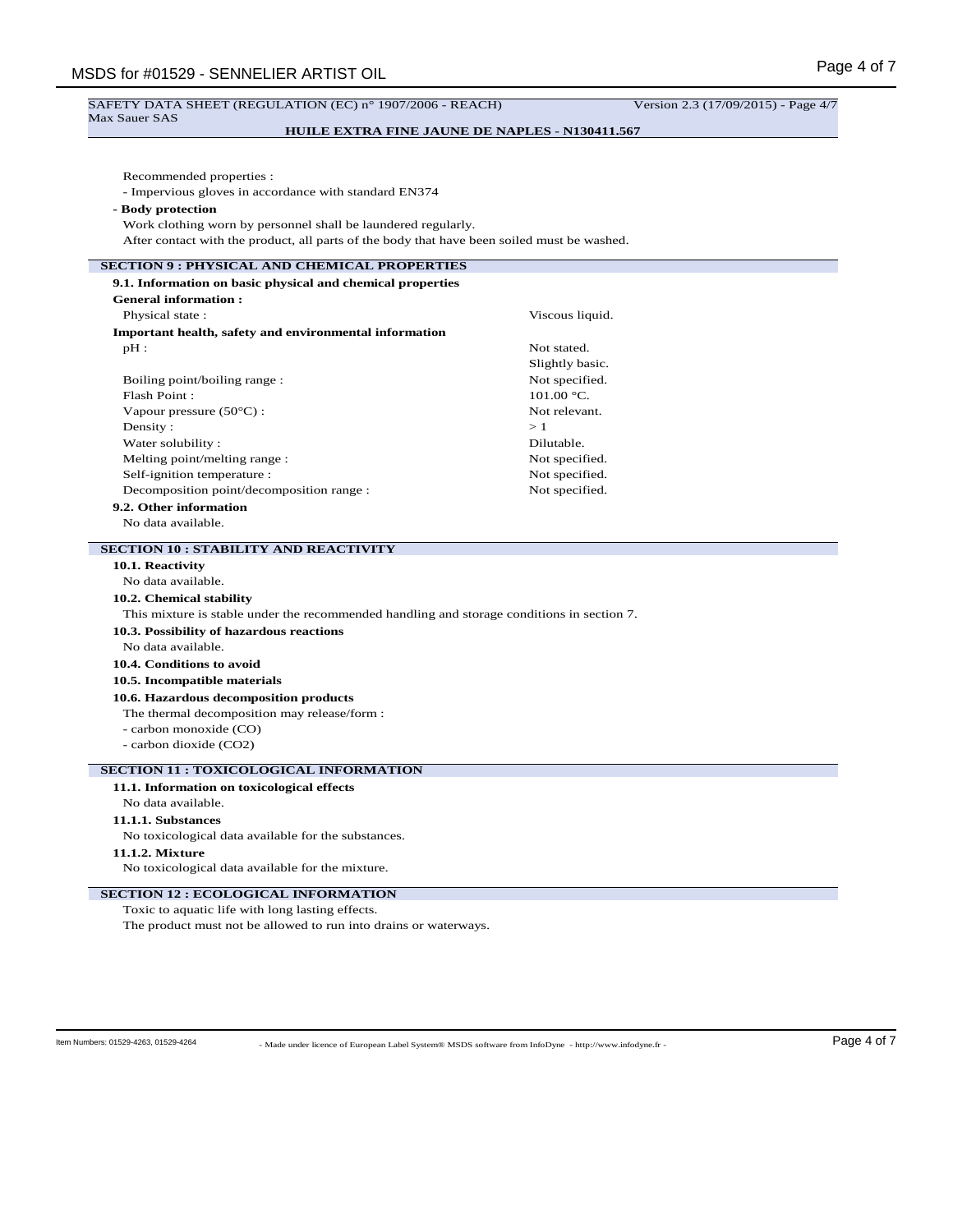| SAFETY DATA SHEET (REGULATION (EC) n° 1907/2006 - REACH)                                    | Version 2.3 (17/09/2015) - Page 4/7 |
|---------------------------------------------------------------------------------------------|-------------------------------------|
| <b>Max Sauer SAS</b><br><b>HUILE EXTRA FINE JAUNE DE NAPLES - N130411.567</b>               |                                     |
|                                                                                             |                                     |
|                                                                                             |                                     |
| Recommended properties :                                                                    |                                     |
| - Impervious gloves in accordance with standard EN374                                       |                                     |
| - Body protection                                                                           |                                     |
| Work clothing worn by personnel shall be laundered regularly.                               |                                     |
| After contact with the product, all parts of the body that have been soiled must be washed. |                                     |
| <b>SECTION 9 : PHYSICAL AND CHEMICAL PROPERTIES</b>                                         |                                     |
| 9.1. Information on basic physical and chemical properties                                  |                                     |
| <b>General information:</b>                                                                 |                                     |
| Physical state:                                                                             | Viscous liquid.                     |
| Important health, safety and environmental information                                      |                                     |
| $pH$ :                                                                                      | Not stated.                         |
|                                                                                             | Slightly basic.                     |
| Boiling point/boiling range:                                                                | Not specified.                      |
| Flash Point:                                                                                | 101.00 °C.                          |
| Vapour pressure $(50^{\circ}C)$ :                                                           | Not relevant.                       |
| Density:                                                                                    | >1                                  |
| Water solubility:                                                                           | Dilutable.                          |
| Melting point/melting range:                                                                | Not specified.                      |
| Self-ignition temperature :                                                                 | Not specified.                      |
| Decomposition point/decomposition range :                                                   | Not specified.                      |
| 9.2. Other information                                                                      |                                     |
| No data available.                                                                          |                                     |
| <b>SECTION 10 : STABILITY AND REACTIVITY</b>                                                |                                     |
| 10.1. Reactivity                                                                            |                                     |
| No data available.                                                                          |                                     |
| 10.2. Chemical stability                                                                    |                                     |
| This mixture is stable under the recommended handling and storage conditions in section 7.  |                                     |
| 10.3. Possibility of hazardous reactions                                                    |                                     |
| No data available.                                                                          |                                     |
| 10.4. Conditions to avoid                                                                   |                                     |
| 10.5. Incompatible materials                                                                |                                     |
| 10.6. Hazardous decomposition products                                                      |                                     |
| The thermal decomposition may release/form :                                                |                                     |
| - carbon monoxide (CO)                                                                      |                                     |
| - carbon dioxide (CO2)                                                                      |                                     |
|                                                                                             |                                     |
| <b>SECTION 11 : TOXICOLOGICAL INFORMATION</b>                                               |                                     |
| 11.1. Information on toxicological effects                                                  |                                     |
| No data available.                                                                          |                                     |
| 11.1.1. Substances                                                                          |                                     |
| No toxicological data available for the substances.                                         |                                     |
| 11.1.2. Mixture                                                                             |                                     |
| No toxicological data available for the mixture.                                            |                                     |
| <b>SECTION 12 : ECOLOGICAL INFORMATION</b>                                                  |                                     |
| Toxic to aquatic life with long lasting effects.                                            |                                     |

The product must not be allowed to run into drains or waterways.

- Made under licence of European Label System® MSDS software from InfoDyne - http://www.infodyne.fr - Item Numbers: 01529-4263, 01529-4264 Page 4 of 7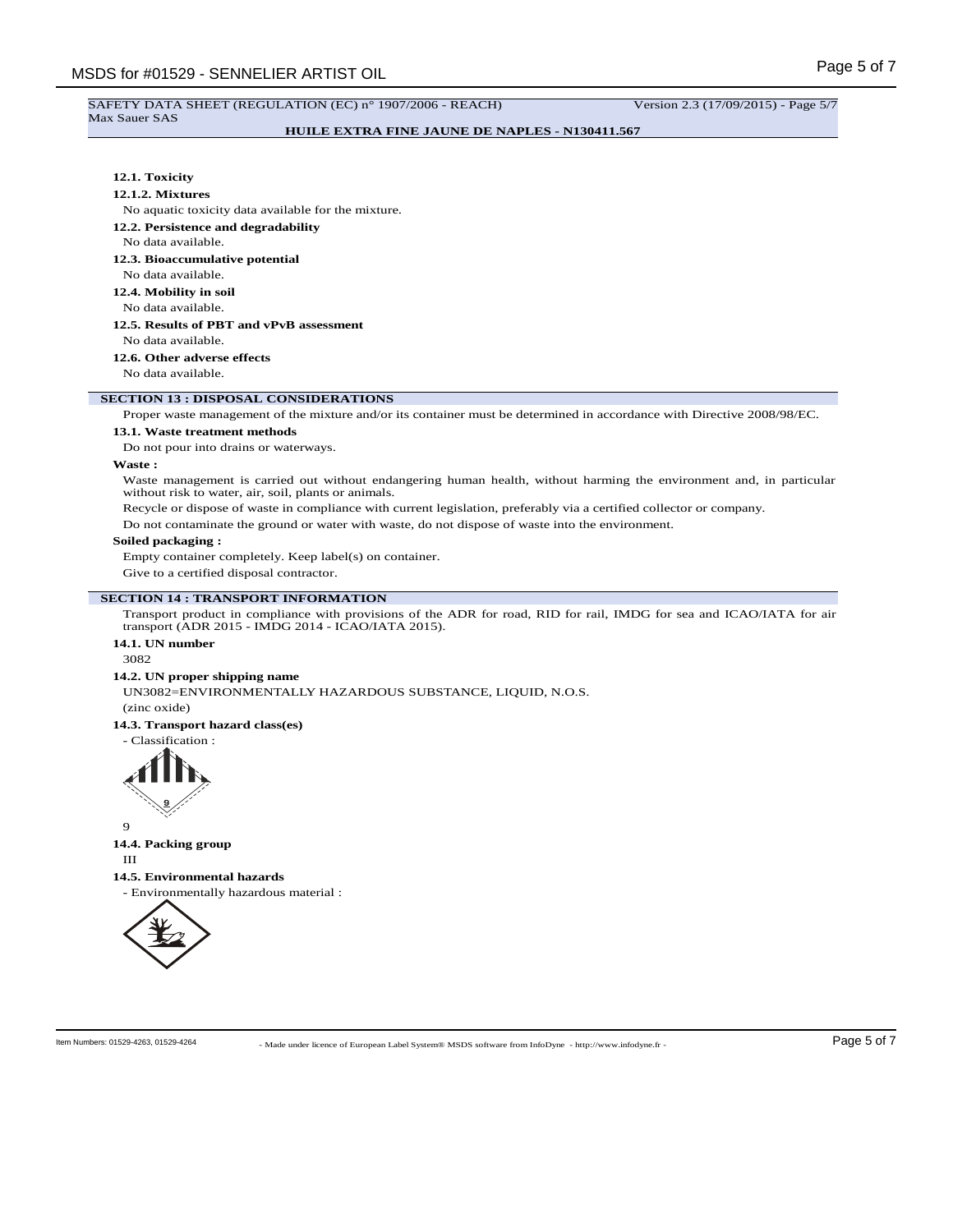#### SAFETY DATA SHEET (REGULATION (EC) n° 1907/2006 - REACH) Version 2.3 (17/09/2015) - Page 5/7 Max Sauer SAS

## **HUILE EXTRA FINE JAUNE DE NAPLES - N130411.567**

## **12.1. Toxicity**

#### **12.1.2. Mixtures**

No aquatic toxicity data available for the mixture.

**12.2. Persistence and degradability**

#### No data available.

**12.3. Bioaccumulative potential**

# No data available.

**12.4. Mobility in soil**

No data available.

# **12.5. Results of PBT and vPvB assessment**

No data available.

## **12.6. Other adverse effects**

No data available.

## **SECTION 13 : DISPOSAL CONSIDERATIONS**

Proper waste management of the mixture and/or its container must be determined in accordance with Directive 2008/98/EC.

#### **13.1. Waste treatment methods**

Do not pour into drains or waterways.

## **Waste :**

Waste management is carried out without endangering human health, without harming the environment and, in particular without risk to water, air, soil, plants or animals.

Recycle or dispose of waste in compliance with current legislation, preferably via a certified collector or company.

Do not contaminate the ground or water with waste, do not dispose of waste into the environment.

#### **Soiled packaging :**

Empty container completely. Keep label(s) on container.

Give to a certified disposal contractor.

## **SECTION 14 : TRANSPORT INFORMATION**

Transport product in compliance with provisions of the ADR for road, RID for rail, IMDG for sea and ICAO/IATA for air transport (ADR 2015 - IMDG 2014 - ICAO/IATA 2015).

# **14.1. UN number**

3082

#### **14.2. UN proper shipping name**

UN3082=ENVIRONMENTALLY HAZARDOUS SUBSTANCE, LIQUID, N.O.S.

(zinc oxide)

# **14.3. Transport hazard class(es)**

- Classification :



# 9 **14.4. Packing group**

III

#### **14.5. Environmental hazards**

- Environmentally hazardous material :

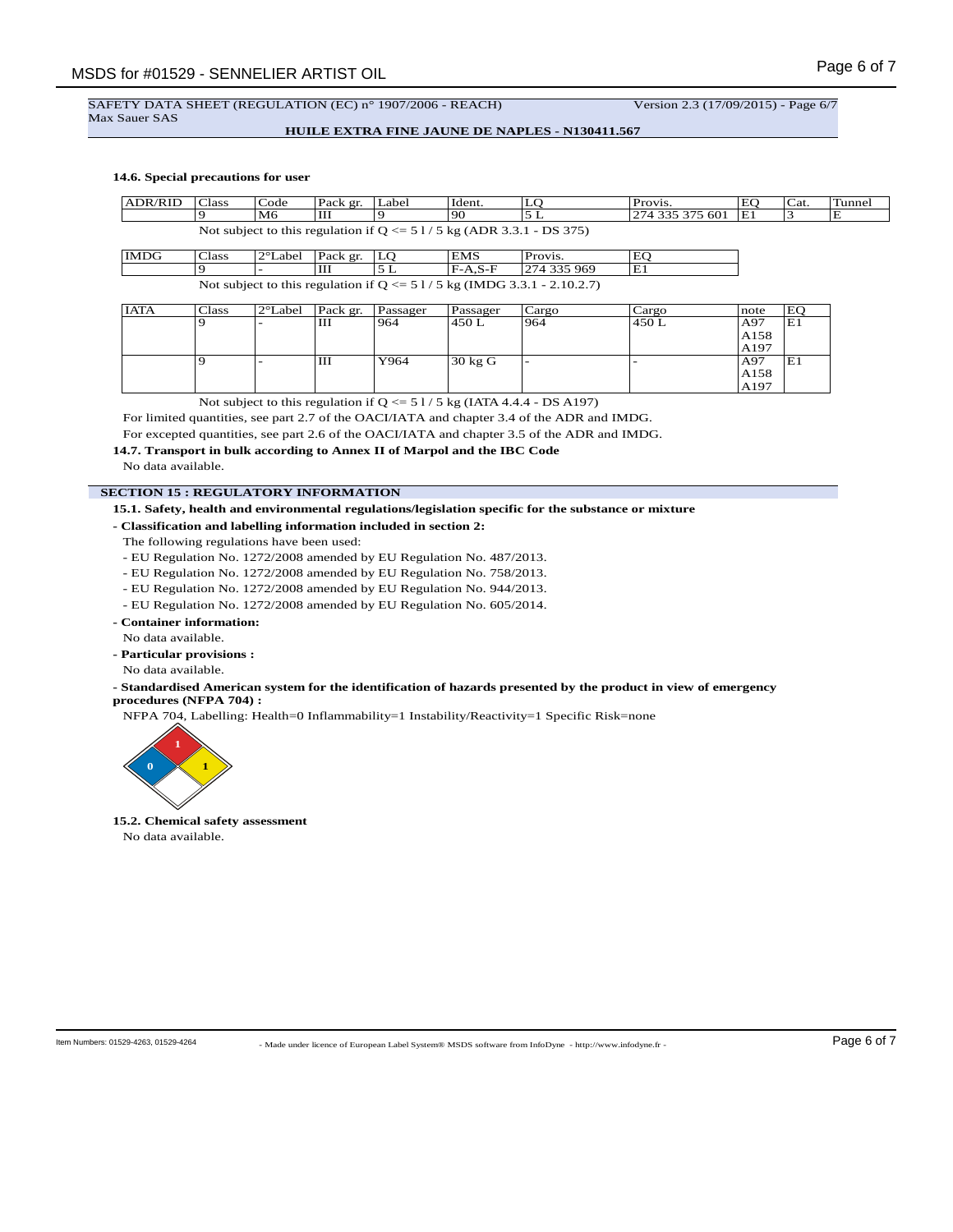## SAFETY DATA SHEET (REGULATION (EC) n° 1907/2006 - REACH) Version 2.3 (17/09/2015) - Page 6/7 Max Sauer SAS

## **HUILE EXTRA FINE JAUNE DE NAPLES - N130411.567**

#### **14.6. Special precautions for user**

| <b>ADR/RID</b>                                                              | 'Class | Code | Pack gr. | Label | Ident. | ∼ | Provis.         | EO | Cat. | Tunnel |
|-----------------------------------------------------------------------------|--------|------|----------|-------|--------|---|-----------------|----|------|--------|
|                                                                             |        | M6   | ЧH       |       | '90    | ∸ | 274 335 375 601 | E1 |      | Е      |
| Not subject to this regulation if $Q \le 51/5$ kg (ADR 3.3.1)<br>$-DS$ 375) |        |      |          |       |        |   |                 |    |      |        |

| IMDG                                                                      | Class | $ 2^{\circ}$ Label   Pack gr.   LO |  |  | <b>EMS</b> | Provis.      | EC |
|---------------------------------------------------------------------------|-------|------------------------------------|--|--|------------|--------------|----|
|                                                                           |       |                                    |  |  | $F-A.S-F$  | 1274 335 969 | Έì |
| Not subject to this regulation if $Q \le 51/5$ kg (IMDG 3.3.1 - 2.10.2.7) |       |                                    |  |  |            |              |    |

| <b>IATA</b> | Class | $2^{\circ}$ Label | Pack gr. | Passager | Passager          | Cargo | Cargo | note | EO |
|-------------|-------|-------------------|----------|----------|-------------------|-------|-------|------|----|
|             |       |                   | Ш        | 964      | 450 L             | 964   | 450 L | A97  | E1 |
|             |       |                   |          |          |                   |       |       | A158 |    |
|             |       |                   |          |          |                   |       |       | A197 |    |
|             |       |                   | Ш        | Y964     | $30 \text{ kg}$ G |       |       | A97  | E1 |
|             |       |                   |          |          |                   |       |       | A158 |    |
|             |       |                   |          |          |                   |       |       | A197 |    |

Not subject to this regulation if  $Q \le 51/5$  kg (IATA 4.4.4 - DS A197)

For limited quantities, see part 2.7 of the OACI/IATA and chapter 3.4 of the ADR and IMDG.

For excepted quantities, see part 2.6 of the OACI/IATA and chapter 3.5 of the ADR and IMDG.

**14.7. Transport in bulk according to Annex II of Marpol and the IBC Code**

No data available.

## **SECTION 15 : REGULATORY INFORMATION**

**15.1. Safety, health and environmental regulations/legislation specific for the substance or mixture**

**- Classification and labelling information included in section 2:**

The following regulations have been used:

- EU Regulation No. 1272/2008 amended by EU Regulation No. 487/2013.

- EU Regulation No. 1272/2008 amended by EU Regulation No. 758/2013.

- EU Regulation No. 1272/2008 amended by EU Regulation No. 944/2013.

- EU Regulation No. 1272/2008 amended by EU Regulation No. 605/2014.

- **Container information:**
- No data available.
- **Particular provisions :**
- No data available.

#### **- Standardised American system for the identification of hazards presented by the product in view of emergency procedures (NFPA 704) :**

NFPA 704, Labelling: Health=0 Inflammability=1 Instability/Reactivity=1 Specific Risk=none



**15.2. Chemical safety assessment** No data available.